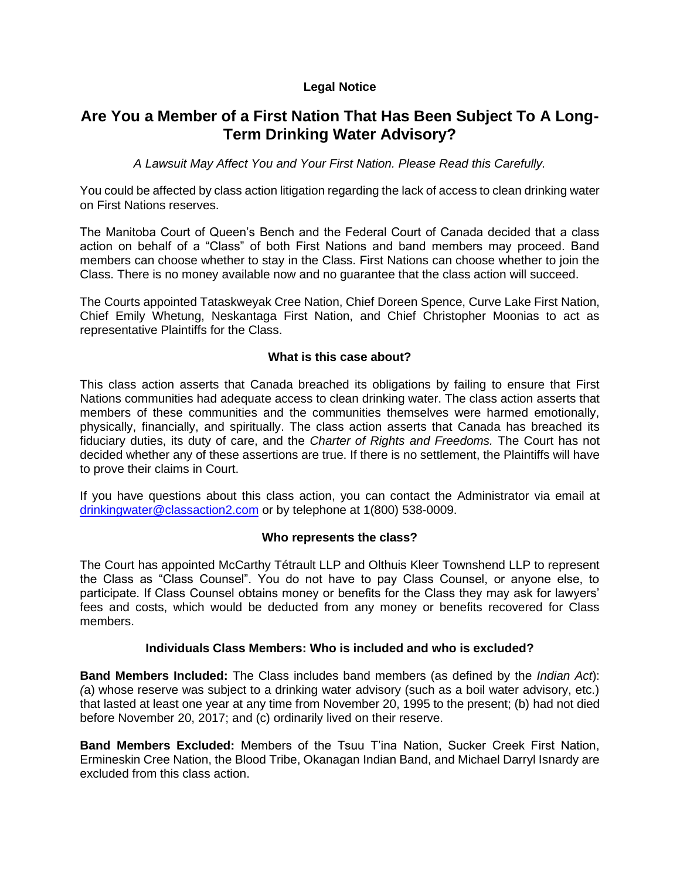## **Legal Notice**

# **Are You a Member of a First Nation That Has Been Subject To A Long-Term Drinking Water Advisory?**

*A Lawsuit May Affect You and Your First Nation. Please Read this Carefully.*

You could be affected by class action litigation regarding the lack of access to clean drinking water on First Nations reserves.

The Manitoba Court of Queen's Bench and the Federal Court of Canada decided that a class action on behalf of a "Class" of both First Nations and band members may proceed. Band members can choose whether to stay in the Class. First Nations can choose whether to join the Class. There is no money available now and no guarantee that the class action will succeed.

The Courts appointed Tataskweyak Cree Nation, Chief Doreen Spence, Curve Lake First Nation, Chief Emily Whetung, Neskantaga First Nation, and Chief Christopher Moonias to act as representative Plaintiffs for the Class.

### **What is this case about?**

This class action asserts that Canada breached its obligations by failing to ensure that First Nations communities had adequate access to clean drinking water. The class action asserts that members of these communities and the communities themselves were harmed emotionally, physically, financially, and spiritually. The class action asserts that Canada has breached its fiduciary duties, its duty of care, and the *Charter of Rights and Freedoms.* The Court has not decided whether any of these assertions are true. If there is no settlement, the Plaintiffs will have to prove their claims in Court.

If you have questions about this class action, you can contact the Administrator via email at [drinkingwater@classaction2.com](mailto:drinkingwater@classaction2.com) or by telephone at 1(800) 538-0009.

#### **Who represents the class?**

The Court has appointed McCarthy Tétrault LLP and Olthuis Kleer Townshend LLP to represent the Class as "Class Counsel". You do not have to pay Class Counsel, or anyone else, to participate. If Class Counsel obtains money or benefits for the Class they may ask for lawyers' fees and costs, which would be deducted from any money or benefits recovered for Class members.

#### **Individuals Class Members: Who is included and who is excluded?**

**Band Members Included:** The Class includes band members (as defined by the *Indian Act*): *(*a) whose reserve was subject to a drinking water advisory (such as a boil water advisory, etc.) that lasted at least one year at any time from November 20, 1995 to the present; (b) had not died before November 20, 2017; and (c) ordinarily lived on their reserve.

**Band Members Excluded:** Members of the Tsuu T'ina Nation, Sucker Creek First Nation, Ermineskin Cree Nation, the Blood Tribe, Okanagan Indian Band, and Michael Darryl Isnardy are excluded from this class action.